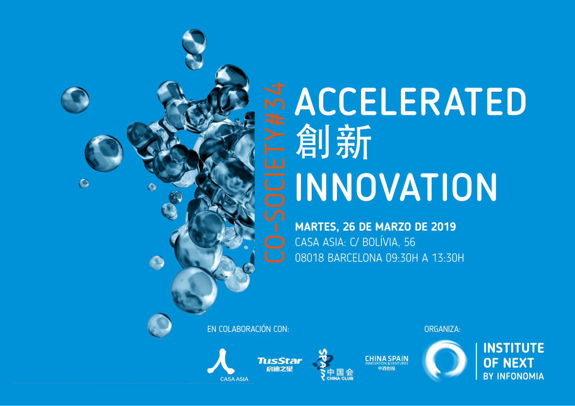

## ACCELERATED 創新 **E INNOVATION**

**MARTES, 26 DE MARZO DE 2019** CASA ASIA: C/ BOLÍVIA, 56 08018 BARCELONA 09:30H A 13:30H





**CHINA SPAIN** 中西创投